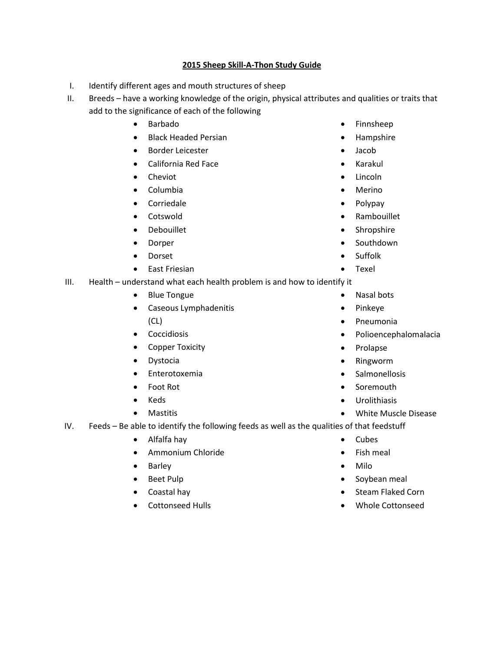## **2015 Sheep Skill-A-Thon Study Guide**

I. Identify different ages and mouth structures of sheep

II. Breeds – have a working knowledge of the origin, physical attributes and qualities or traits that add to the significance of each of the following

- $\bullet$  Barbado
- Black Headed Persian
- **•** Border Leicester
- California Red Face
- Cheviot
- Columbia
- **•** Corriedale
- **•** Cotswold
- Debouillet
- Dorper
- Dorset
- East Friesian

III. Health – understand what each health problem is and how to identify it

- Blue Tongue
- Caseous Lymphadenitis (CL)
- **•** Coccidiosis
- Copper Toxicity
- Dystocia
- **•** Enterotoxemia
- Foot Rot
- Keds
- Mastitis
- IV. Feeds Be able to identify the following feeds as well as the qualities of that feedstuff
	- Alfalfa hay
	- **•** Ammonium Chloride
	- Barley
	- Beet Pulp
	- Coastal hay
	- Cottonseed Hulls
- Finnsheep
- Hampshire
- Jacob
- Karakul
- Lincoln
- Merino
- Polypay
- Rambouillet
- Shropshire
- Southdown
- Suffolk
- Texel
- Nasal bots
- Pinkeye
- Pneumonia
- Polioencephalomalacia
- Prolapse
- Ringworm
- Salmonellosis
- Soremouth
- Urolithiasis
- White Muscle Disease
- Cubes
- Fish meal
- Milo
- Soybean meal
- Steam Flaked Corn
- Whole Cottonseed